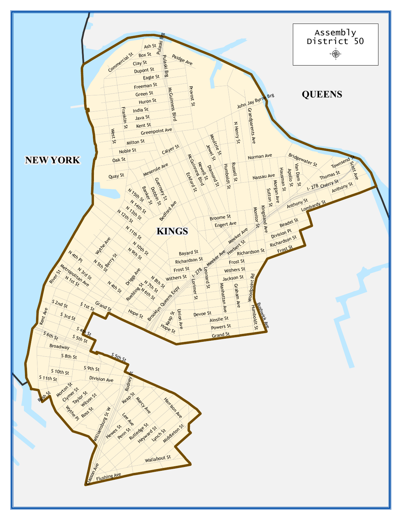